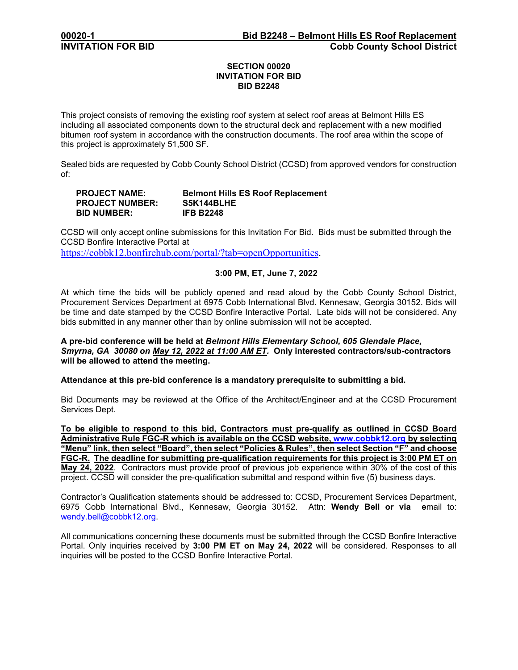## **SECTION 00020 INVITATION FOR BID BID B2248**

This project consists of removing the existing roof system at select roof areas at Belmont Hills ES including all associated components down to the structural deck and replacement with a new modified bitumen roof system in accordance with the construction documents. The roof area within the scope of this project is approximately 51,500 SF.

Sealed bids are requested by Cobb County School District (CCSD) from approved vendors for construction of:

### **PROJECT NAME: Belmont Hills ES Roof Replacement PROJECT NUMBER: S5K144BLHE BID NUMBER:**

CCSD will only accept online submissions for this Invitation For Bid. Bids must be submitted through the CCSD Bonfire Interactive Portal at

[https://cobbk12.bonfirehub.com/portal/?tab=openOpportunities.](https://cobbk12.bonfirehub.com/portal/?tab=openOpportunities)

# **3:00 PM, ET, June 7, 2022**

At which time the bids will be publicly opened and read aloud by the Cobb County School District, Procurement Services Department at 6975 Cobb International Blvd. Kennesaw, Georgia 30152. Bids will be time and date stamped by the CCSD Bonfire Interactive Portal. Late bids will not be considered. Any bids submitted in any manner other than by online submission will not be accepted.

### **A pre-bid conference will be held at** *Belmont Hills Elementary School, 605 Glendale Place, Smyrna, GA 30080 on May 12, 2022 at 11:00 AM ET.* **Only interested contractors/sub-contractors will be allowed to attend the meeting.**

**Attendance at this pre-bid conference is a mandatory prerequisite to submitting a bid.** 

Bid Documents may be reviewed at the Office of the Architect/Engineer and at the CCSD Procurement Services Dept.

**To be eligible to respond to this bid, Contractors must pre-qualify as outlined in CCSD Board Administrative Rule FGC-R which is available on the CCSD website, [www.cobbk12.org](http://www.cobbk12.org/) by selecting "Menu" link, then select "Board", then select "Policies & Rules", then select Section "F" and choose FGC-R. The deadline for submitting pre-qualification requirements for this project is 3:00 PM ET on May 24, 2022**. Contractors must provide proof of previous job experience within 30% of the cost of this project. CCSD will consider the pre-qualification submittal and respond within five (5) business days.

Contractor's Qualification statements should be addressed to: CCSD, Procurement Services Department, 6975 Cobb International Blvd., Kennesaw, Georgia 30152. Attn: **Wendy Bell or via e**mail to: [wendy.bell@cobbk12.org.](mailto:wendy.bell@cobbk12.org)

All communications concerning these documents must be submitted through the CCSD Bonfire Interactive Portal. Only inquiries received by **3:00 PM ET on May 24, 2022** will be considered. Responses to all inquiries will be posted to the CCSD Bonfire Interactive Portal.